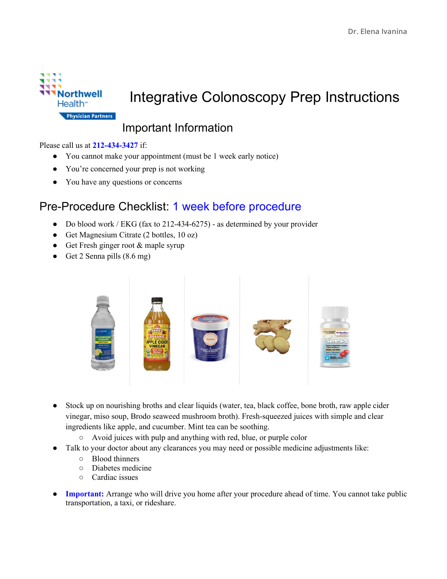

# Integrative Colonoscopy Prep Instructions

### Important Information

#### Please call us at **212-434-3427** if:

- You cannot make your appointment (must be 1 week early notice)
- You're concerned your prep is not working
- You have any questions or concerns

#### Pre-Procedure Checklist: 1 week before procedure

- Do blood work / EKG (fax to 212-434-6275) as determined by your provider
- Get Magnesium Citrate (2 bottles, 10 oz)
- Get Fresh ginger root & maple syrup
- Get 2 Senna pills (8.6 mg)



- Stock up on nourishing broths and clear liquids (water, tea, black coffee, bone broth, raw apple cider vinegar, miso soup, Brodo seaweed mushroom broth). Fresh-squeezed juices with simple and clear ingredients like apple, and cucumber. Mint tea can be soothing.
	- Avoid juices with pulp and anything with red, blue, or purple color
- Talk to your doctor about any clearances you may need or possible medicine adjustments like:
	- Blood thinners
	- Diabetes medicine
	- Cardiac issues
- **Important:** Arrange who will drive you home after your procedure ahead of time. You cannot take public transportation, a taxi, or rideshare.